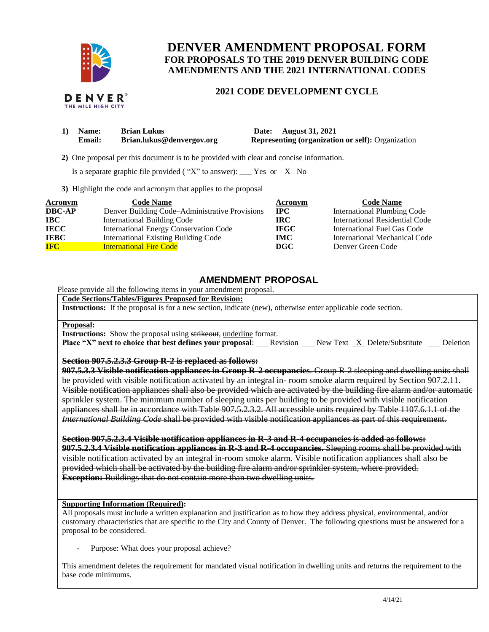

THE MILE HIGH CITY

# **DENVER AMENDMENT PROPOSAL FORM FOR PROPOSALS TO THE 2019 DENVER BUILDING CODE AMENDMENTS AND THE 2021 INTERNATIONAL CODES**

## **2021 CODE DEVELOPMENT CYCLE**

| Name:         | <b>Brian Lukus</b>        | Date: August 31, 2021                                    |
|---------------|---------------------------|----------------------------------------------------------|
| <b>Email:</b> | Brian.lukus@denvergov.org | <b>Representing (organization or self): Organization</b> |

 **2)** One proposal per this document is to be provided with clear and concise information.

Is a separate graphic file provided ("X" to answer): \_\_\_ Yes or  $X$  No

**3)** Highlight the code and acronym that applies to the proposal

| Acronym       | <b>Code Name</b>                               | Acronym     | <b>Code Name</b>                   |
|---------------|------------------------------------------------|-------------|------------------------------------|
| <b>DBC-AP</b> | Denver Building Code–Administrative Provisions | <b>IPC</b>  | <b>International Plumbing Code</b> |
| IBC           | <b>International Building Code</b>             | <b>IRC</b>  | International Residential Code     |
| <b>IECC</b>   | <b>International Energy Conservation Code</b>  | <b>IFGC</b> | International Fuel Gas Code        |
| <b>IEBC</b>   | <b>International Existing Building Code</b>    | <b>IMC</b>  | International Mechanical Code      |
| <b>IFC</b>    | <b>International Fire Code</b>                 | DGC         | Denver Green Code                  |

## **AMENDMENT PROPOSAL**

Please provide all the following items in your amendment proposal.

## **Code Sections/Tables/Figures Proposed for Revision:**

**Instructions:** If the proposal is for a new section, indicate (new), otherwise enter applicable code section.

#### **Proposal:**

**Instructions:** Show the proposal using strikeout, underline format.

**Place "X" next to choice that best defines your proposal:** Revision New Text X Delete/Substitute Deletion

#### **Section 907.5.2.3.3 Group R-2 is replaced as follows:**

**907.5.3.3 Visible notification appliances in Group R-2 occupancies**. Group R-2 sleeping and dwelling units shall be provided with visible notification activated by an integral in-room smoke alarm required by Section 907.2.11. Visible notification appliances shall also be provided which are activated by the building fire alarm and/or automatic sprinkler system. The minimum number of sleeping units per building to be provided with visible notification appliances shall be in accordance with Table 907.5.2.3.2. All accessible units required by Table 1107.6.1.1 of the *International Building Code* shall be provided with visible notification appliances as part of this requirement.

**Section 907.5.2.3.4 Visible notification appliances in R-3 and R-4 occupancies is added as follows: 907.5.2.3.4 Visible notification appliances in R-3 and R-4 occupancies.** Sleeping rooms shall be provided with visible notification activated by an integral in-room smoke alarm. Visible notification appliances shall also be provided which shall be activated by the building fire alarm and/or sprinkler system, where provided. **Exception:** Buildings that do not contain more than two dwelling units.

### **Supporting Information (Required):**

All proposals must include a written explanation and justification as to how they address physical, environmental, and/or customary characteristics that are specific to the City and County of Denver. The following questions must be answered for a proposal to be considered.

Purpose: What does your proposal achieve?

This amendment deletes the requirement for mandated visual notification in dwelling units and returns the requirement to the base code minimums.